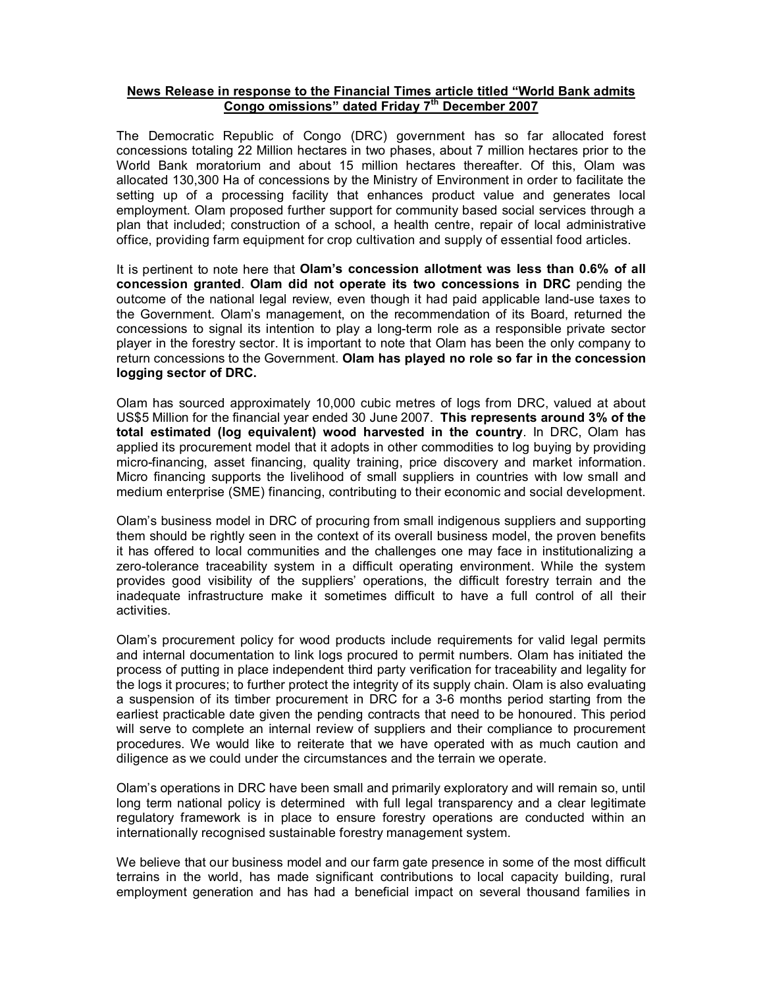## **News Release in response to the Financial Times article titled "World Bank admits Congo omissions" dated Friday 7 th December 2007**

The Democratic Republic of Congo (DRC) government has so far allocated forest concessions totaling 22 Million hectares in two phases, about 7 million hectares prior to the World Bank moratorium and about 15 million hectares thereafter. Of this, Olam was allocated 130,300 Ha of concessions by the Ministry of Environment in order to facilitate the setting up of a processing facility that enhances product value and generates local employment. Olam proposed further support for community based social services through a plan that included; construction of a school, a health centre, repair of local administrative office, providing farm equipment for crop cultivation and supply of essential food articles.

It is pertinent to note here that **Olam's concession allotment was less than 0.6% of all concession granted**. **Olam did not operate its two concessions in DRC** pending the outcome of the national legal review, even though it had paid applicable land-use taxes to the Government. Olam's management, on the recommendation of its Board, returned the concessions to signal its intention to play a long-term role as a responsible private sector player in the forestry sector. It is important to note that Olam has been the only company to return concessions to the Government. **Olam has played no role so far in the concession logging sector of DRC.**

Olam has sourced approximately 10,000 cubic metres of logs from DRC, valued at about US\$5 Million for the financial year ended 30 June 2007. **This represents around 3% of the total estimated (log equivalent) wood harvested in the country**. In DRC, Olam has applied its procurement model that it adopts in other commodities to log buying by providing micro-financing, asset financing, quality training, price discovery and market information. Micro financing supports the livelihood of small suppliers in countries with low small and medium enterprise (SME) financing, contributing to their economic and social development.

Olam's business model in DRC of procuring from small indigenous suppliers and supporting them should be rightly seen in the context of its overall business model, the proven benefits it has offered to local communities and the challenges one may face in institutionalizing a zero-tolerance traceability system in a difficult operating environment. While the system provides good visibility of the suppliers' operations, the difficult forestry terrain and the inadequate infrastructure make it sometimes difficult to have a full control of all their activities.

Olam's procurement policy for wood products include requirements for valid legal permits and internal documentation to link logs procured to permit numbers. Olam has initiated the process of putting in place independent third party verification for traceability and legality for the logs it procures; to further protect the integrity of its supply chain. Olam is also evaluating a suspension of its timber procurement in DRC for a 3-6 months period starting from the earliest practicable date given the pending contracts that need to be honoured. This period will serve to complete an internal review of suppliers and their compliance to procurement procedures. We would like to reiterate that we have operated with as much caution and diligence as we could under the circumstances and the terrain we operate.

Olam's operations in DRC have been small and primarily exploratory and will remain so, until long term national policy is determined with full legal transparency and a clear legitimate regulatory framework is in place to ensure forestry operations are conducted within an internationally recognised sustainable forestry management system.

We believe that our business model and our farm gate presence in some of the most difficult terrains in the world, has made significant contributions to local capacity building, rural employment generation and has had a beneficial impact on several thousand families in